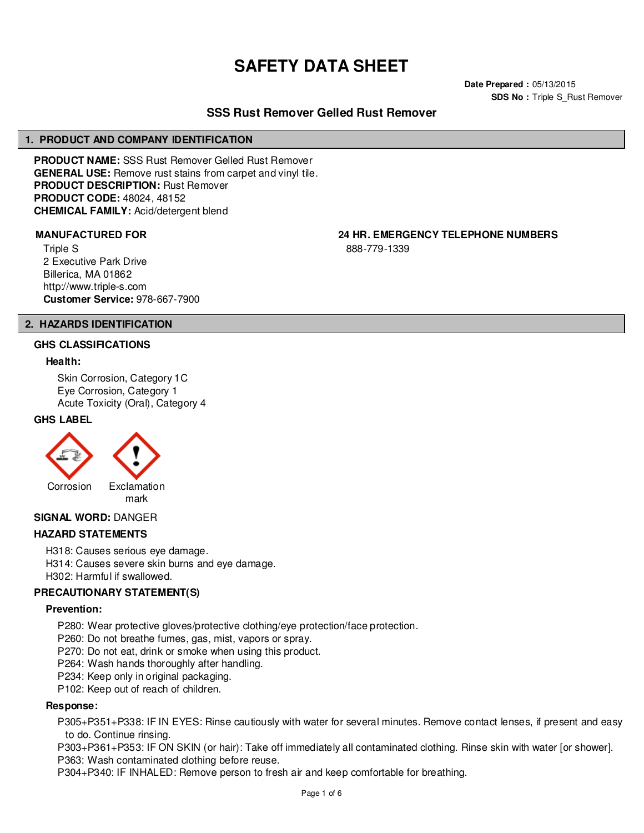# **SAFETY DATA SHEET**

**Date Prepared :** 05/13/2015 **SDS No : Triple S\_Rust Remover** 

# **SSS Rust Remover Gelled Rust Remover**

# **1. PRODUCT AND COMPANY IDENTIFICATION**

**PRODUCT NAME:** SSS Rust Remover Gelled Rust Remover **GENERAL USE:** Remove rust stains from carpet and vinyl tile. **PRODUCT DESCRIPTION:** Rust Remover **PRODUCT CODE:** 48024, 48152 **CHEMICAL FAMILY:** Acid/detergent blend

Triple S 2 Executive Park Drive Billerica, MA 01862 http://www.triple-s.com **Customer Service:** 978-667-7900

**MANUFACTURED FOR 24 HR. EMERGENCY TELEPHONE NUMBERS**

888-779-1339

# **2. HAZARDS IDENTIFICATION**

#### **GHS CLASSIFICATIONS**

#### **Health:**

Skin Corrosion, Category 1C Eye Corrosion, Category 1 Acute Toxicity (Oral), Category 4

# **GHS LABEL**



**SIGNAL WORD:** DANGER

# **HAZARD STATEMENTS**

H318: Causes serious eye damage. H314: Causes severe skin burns and eye damage. H302: Harmful if swallowed.

# **PRECAUTIONARY STATEMENT(S)**

#### **Prevention:**

P280: Wear protective gloves/protective clothing/eye protection/face protection.

P260: Do not breathe fumes, gas, mist, vapors or spray.

P270: Do not eat, drink or smoke when using this product.

P264: Wash hands thoroughly after handling.

P234: Keep only in original packaging.

P102: Keep out of reach of children.

#### **Response:**

P305+P351+P338: IF IN EYES: Rinse cautiously with water for several minutes. Remove contact lenses, if present and easy to do. Continue rinsing.

P303+P361+P353: IF ON SKIN (or hair): Take off immediately all contaminated clothing. Rinse skin with water [or shower]. P363: Wash contaminated clothing before reuse.

P304+P340: IF INHALED: Remove person to fresh air and keep comfortable for breathing.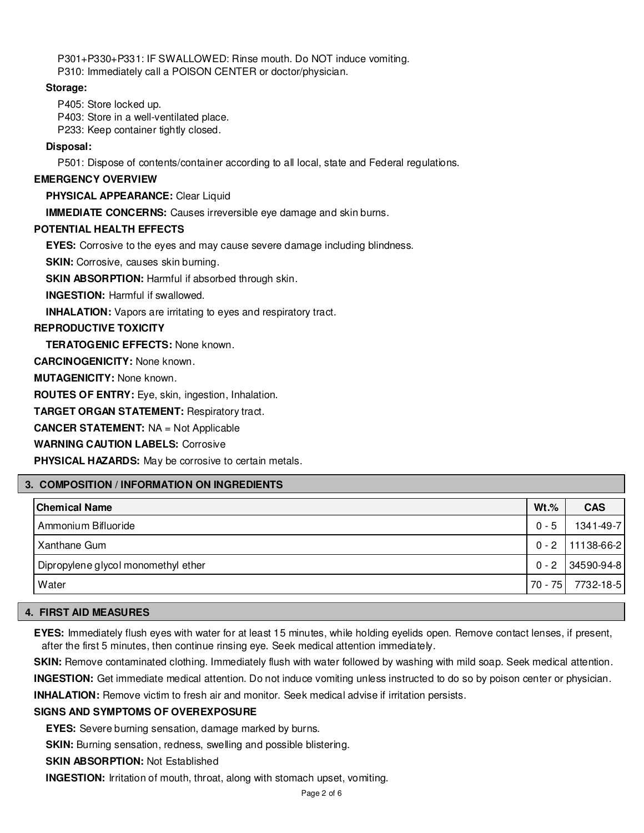P301+P330+P331: IF SWALLOWED: Rinse mouth. Do NOT induce vomiting. P310: Immediately call a POISON CENTER or doctor/physician.

# **Storage:**

P405: Store locked up. P403: Store in a well-ventilated place.

P233: Keep container tightly closed.

# **Disposal:**

P501: Dispose of contents/container according to all local, state and Federal regulations.

# **EMERGENCY OVERVIEW**

**PHYSICAL APPEARANCE:** Clear Liquid

**IMMEDIATE CONCERNS:** Causes irreversible eye damage and skin burns.

# **POTENTIAL HEALTH EFFECTS**

**EYES:** Corrosive to the eyes and may cause severe damage including blindness.

**SKIN:** Corrosive, causes skin burning.

**SKIN ABSORPTION:** Harmful if absorbed through skin.

**INGESTION:** Harmful if swallowed.

**INHALATION:** Vapors are irritating to eyes and respiratory tract.

# **REPRODUCTIVE TOXICITY**

**TERATOGENIC EFFECTS:** None known.

**CARCINOGENICITY:** None known.

**MUTAGENICITY:** None known.

**ROUTES OF ENTRY:** Eye, skin, ingestion, Inhalation.

**TARGET ORGAN STATEMENT:** Respiratory tract.

**CANCER STATEMENT:** NA = Not Applicable

**WARNING CAUTION LABELS:** Corrosive

**PHYSICAL HAZARDS:** May be corrosive to certain metals.

# **3. COMPOSITION / INFORMATION ON INGREDIENTS**

| <b>Chemical Name</b>                | $Wt.\%$ | <b>CAS</b> |
|-------------------------------------|---------|------------|
| Ammonium Bifluoride                 | $0 - 5$ | 1341-49-7  |
| <b>Xanthane Gum</b>                 | $0 - 2$ | 11138-66-2 |
| Dipropylene glycol monomethyl ether | $0 - 2$ | 34590-94-8 |
| Water                               | 70 - 75 | 7732-18-5  |

# **4. FIRST AID MEASURES**

**EYES:** Immediately flush eyes with water for at least 15 minutes, while holding eyelids open. Remove contact lenses, if present, after the first 5 minutes, then continue rinsing eye. Seek medical attention immediately.

**SKIN:** Remove contaminated clothing. Immediately flush with water followed by washing with mild soap. Seek medical attention.

**INGESTION:** Get immediate medical attention. Do not induce vomiting unless instructed to do so by poison center or physician.

**INHALATION:** Remove victim to fresh air and monitor. Seek medical advise if irritation persists.

# **SIGNS AND SYMPTOMS OF OVEREXPOSURE**

**EYES:** Severe burning sensation, damage marked by burns.

**SKIN:** Burning sensation, redness, swelling and possible blistering.

**SKIN ABSORPTION:** Not Established

**INGESTION:** Irritation of mouth, throat, along with stomach upset, vomiting.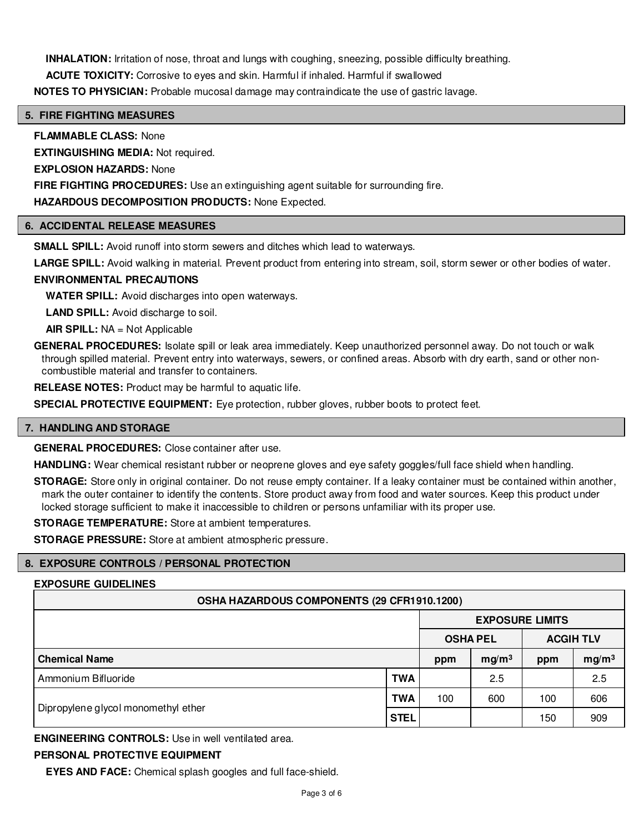**INHALATION:** Irritation of nose, throat and lungs with coughing, sneezing, possible difficulty breathing.

**ACUTE TOXICITY:** Corrosive to eyes and skin. Harmful if inhaled. Harmful if swallowed

**NOTES TO PHYSICIAN:** Probable mucosal damage may contraindicate the use of gastric lavage.

# **5. FIRE FIGHTING MEASURES**

**FLAMMABLE CLASS:** None

**EXTINGUISHING MEDIA:** Not required.

**EXPLOSION HAZARDS:** None

**FIRE FIGHTING PROCEDURES:** Use an extinguishing agent suitable for surrounding fire.

**HAZARDOUS DECOMPOSITION PRODUCTS:** None Expected.

# **6. ACCIDENTAL RELEASE MEASURES**

**SMALL SPILL:** Avoid runoff into storm sewers and ditches which lead to waterways.

**LARGE SPILL:** Avoid walking in material. Prevent product from entering into stream, soil, storm sewer or other bodies of water.

# **ENVIRONMENTAL PRECAUTIONS**

**WATER SPILL:** Avoid discharges into open waterways.

**LAND SPILL:** Avoid discharge to soil.

**AIR SPILL:** NA = Not Applicable

**GENERAL PROCEDURES:** Isolate spill or leak area immediately. Keep unauthorized personnel away. Do not touch or walk through spilled material. Prevent entry into waterways, sewers, or confined areas. Absorb with dry earth, sand or other noncombustible material and transfer to containers.

**RELEASE NOTES:** Product may be harmful to aquatic life.

**SPECIAL PROTECTIVE EQUIPMENT:** Eye protection, rubber gloves, rubber boots to protect feet.

# **7. HANDLING AND STORAGE**

**GENERAL PROCEDURES:** Close container after use.

**HANDLING:** Wear chemical resistant rubber or neoprene gloves and eye safety goggles/full face shield when handling.

**STORAGE:** Store only in original container. Do not reuse empty container. If a leaky container must be contained within another, mark the outer container to identify the contents. Store product away from food and water sources. Keep this product under locked storage sufficient to make it inaccessible to children or persons unfamiliar with its proper use.

**STORAGE TEMPERATURE:** Store at ambient temperatures.

**STORAGE PRESSURE:** Store at ambient atmospheric pressure.

# **8. EXPOSURE CONTROLS / PERSONAL PROTECTION**

# **EXPOSURE GUIDELINES**

| OSHA HAZARDOUS COMPONENTS (29 CFR1910.1200) |             |                        |                   |                  |                   |
|---------------------------------------------|-------------|------------------------|-------------------|------------------|-------------------|
|                                             |             | <b>EXPOSURE LIMITS</b> |                   |                  |                   |
|                                             |             | <b>OSHA PEL</b>        |                   | <b>ACGIH TLV</b> |                   |
| <b>Chemical Name</b>                        |             | ppm                    | mg/m <sup>3</sup> | ppm              | mg/m <sup>3</sup> |
| Ammonium Bifluoride                         | <b>TWA</b>  |                        | 2.5               |                  | 2.5               |
|                                             | <b>TWA</b>  | 100                    | 600               | 100              | 606               |
| Dipropylene glycol monomethyl ether         | <b>STEL</b> |                        |                   | 150              | 909               |

**ENGINEERING CONTROLS:** Use in well ventilated area.

# **PERSONAL PROTECTIVE EQUIPMENT**

**EYES AND FACE:** Chemical splash googles and full face-shield.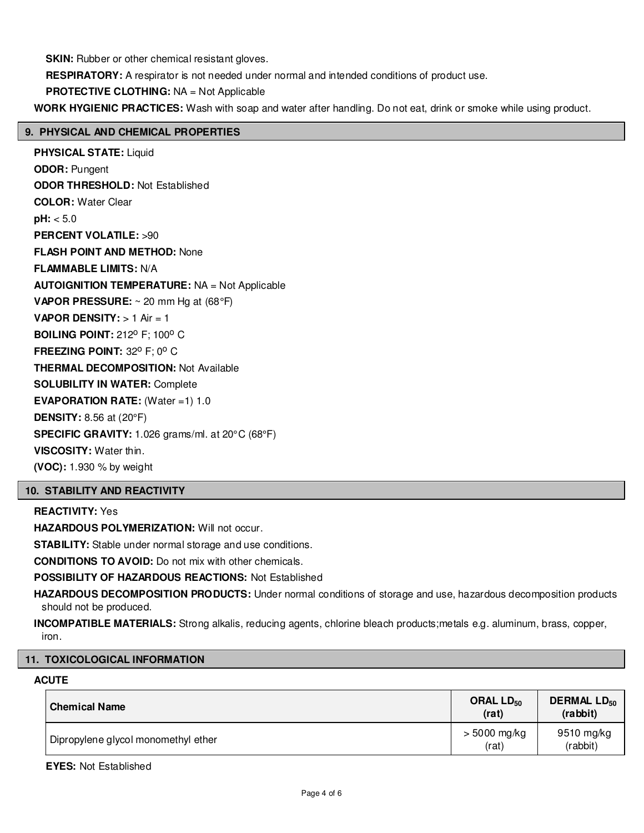**SKIN:** Rubber or other chemical resistant gloves.

**RESPIRATORY:** A respirator is not needed under normal and intended conditions of product use.

**PROTECTIVE CLOTHING:** NA = Not Applicable

**WORK HYGIENIC PRACTICES:** Wash with soap and water after handling. Do not eat, drink or smoke while using product.

# **9. PHYSICAL AND CHEMICAL PROPERTIES**

**PHYSICAL STATE:** Liquid **ODOR:** Pungent **ODOR THRESHOLD:** Not Established **COLOR:** Water Clear **pH:** < 5.0 **PERCENT VOLATILE:** >90 **FLASH POINT AND METHOD:** None **FLAMMABLE LIMITS:** N/A **AUTOIGNITION TEMPERATURE:** NA = Not Applicable **VAPOR PRESSURE:** ~ 20 mm Hg at (68°F) **VAPOR DENSITY:** > 1 Air = 1 **BOILING POINT: 212º F; 100° C FREEZING POINT: 32° F; 0° C THERMAL DECOMPOSITION:** Not Available **SOLUBILITY IN WATER:** Complete **EVAPORATION RATE:** (Water =1) 1.0 **DENSITY:** 8.56 at (20°F) **SPECIFIC GRAVITY:** 1.026 grams/ml. at 20°C (68°F) **VISCOSITY:** Water thin. **(VOC):** 1.930 % by weight

# **10. STABILITY AND REACTIVITY**

# **REACTIVITY:** Yes

**HAZARDOUS POLYMERIZATION:** Will not occur.

**STABILITY:** Stable under normal storage and use conditions.

**CONDITIONS TO AVOID:** Do not mix with other chemicals.

**POSSIBILITY OF HAZARDOUS REACTIONS:** Not Established

**HAZARDOUS DECOMPOSITION PRODUCTS:** Under normal conditions of storage and use, hazardous decomposition products should not be produced.

**INCOMPATIBLE MATERIALS:** Strong alkalis, reducing agents, chlorine bleach products;metals e.g. aluminum, brass, copper, iron.

# **11. TOXICOLOGICAL INFORMATION**

# **ACUTE**

| <b>Chemical Name</b>                | ORAL $LD_{50}$<br>(rat) | <b>DERMAL LD<sub>50</sub></b><br>(rabbit) |
|-------------------------------------|-------------------------|-------------------------------------------|
| Dipropylene glycol monomethyl ether | $> 5000$ mg/kg<br>(rat) | 9510 mg/kg<br>(rabbit)                    |

**EYES:** Not Established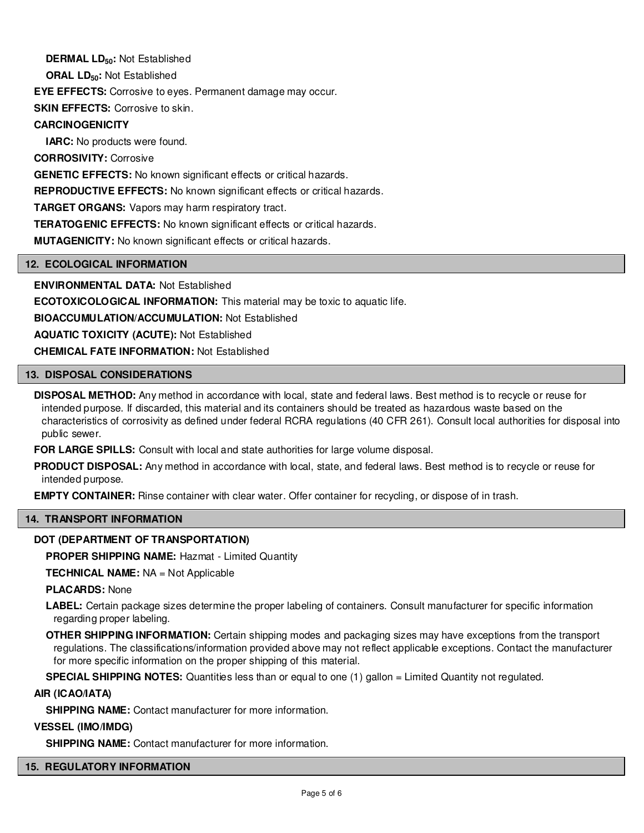**DERMAL LD50:** Not Established

**ORAL LD50:** Not Established

**EYE EFFECTS:** Corrosive to eyes. Permanent damage may occur.

**SKIN EFFECTS: Corrosive to skin.** 

# **CARCINOGENICITY**

**IARC:** No products were found.

**CORROSIVITY:** Corrosive

**GENETIC EFFECTS:** No known significant effects or critical hazards.

**REPRODUCTIVE EFFECTS:** No known significant effects or critical hazards.

**TARGET ORGANS:** Vapors may harm respiratory tract.

**TERATOGENIC EFFECTS:** No known significant effects or critical hazards.

**MUTAGENICITY:** No known significant effects or critical hazards.

# **12. ECOLOGICAL INFORMATION**

**ENVIRONMENTAL DATA:** Not Established

**ECOTOXICOLOGICAL INFORMATION:** This material may be toxic to aquatic life.

**BIOACCUMULATION/ACCUMULATION:** Not Established

**AQUATIC TOXICITY (ACUTE):** Not Established

**CHEMICAL FATE INFORMATION:** Not Established

# **13. DISPOSAL CONSIDERATIONS**

**DISPOSAL METHOD:** Any method in accordance with local, state and federal laws. Best method is to recycle or reuse for intended purpose. If discarded, this material and its containers should be treated as hazardous waste based on the characteristics of corrosivity as defined under federal RCRA regulations (40 CFR 261). Consult local authorities for disposal into public sewer.

**FOR LARGE SPILLS:** Consult with local and state authorities for large volume disposal.

**PRODUCT DISPOSAL:** Any method in accordance with local, state, and federal laws. Best method is to recycle or reuse for intended purpose.

**EMPTY CONTAINER:** Rinse container with clear water. Offer container for recycling, or dispose of in trash.

# **14. TRANSPORT INFORMATION**

# **DOT (DEPARTMENT OF TRANSPORTATION)**

**PROPER SHIPPING NAME:** Hazmat - Limited Quantity

**TECHNICAL NAME:** NA = Not Applicable

**PLACARDS:** None

**LABEL:** Certain package sizes determine the proper labeling of containers. Consult manufacturer for specific information regarding proper labeling.

**OTHER SHIPPING INFORMATION:** Certain shipping modes and packaging sizes may have exceptions from the transport regulations. The classifications/information provided above may not reflect applicable exceptions. Contact the manufacturer for more specific information on the proper shipping of this material.

**SPECIAL SHIPPING NOTES:** Quantities less than or equal to one (1) gallon = Limited Quantity not regulated.

# **AIR (ICAO/IATA)**

**SHIPPING NAME:** Contact manufacturer for more information.

# **VESSEL (IMO/IMDG)**

**SHIPPING NAME:** Contact manufacturer for more information.

# **15. REGULATORY INFORMATION**